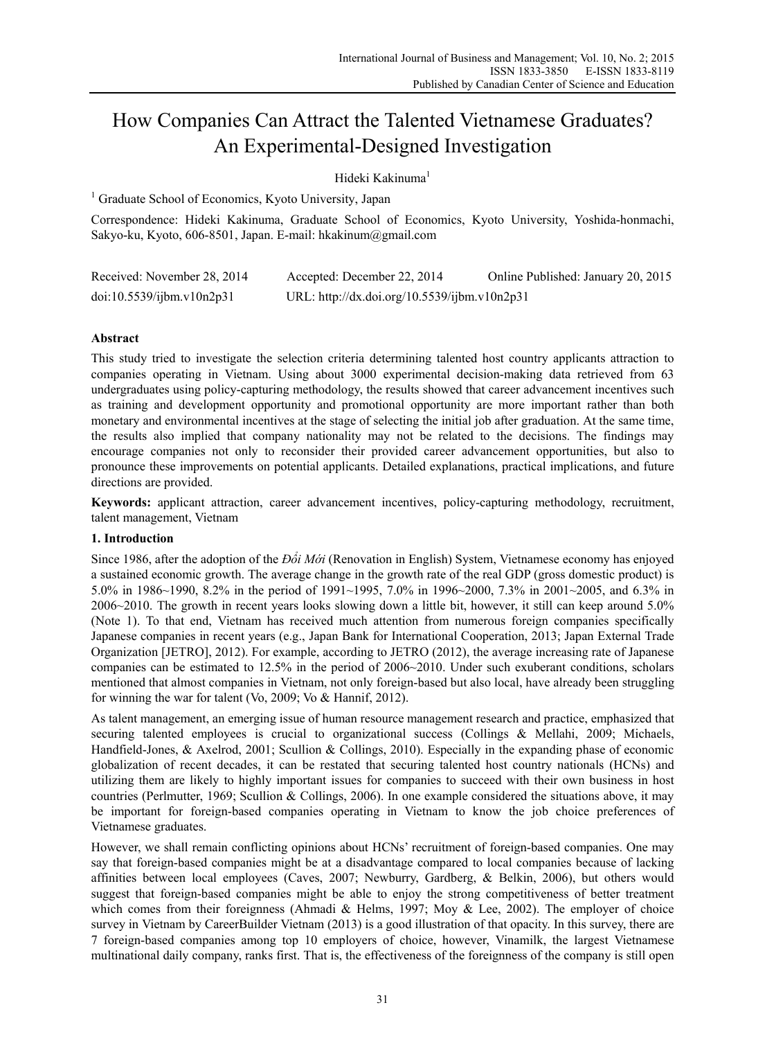# How Companies Can Attract the Talented Vietnamese Graduates? An Experimental-Designed Investigation

# Hideki Kakinuma<sup>1</sup>

<sup>1</sup> Graduate School of Economics, Kyoto University, Japan

Correspondence: Hideki Kakinuma, Graduate School of Economics, Kyoto University, Yoshida-honmachi, Sakyo-ku, Kyoto, 606-8501, Japan. E-mail: hkakinum@gmail.com

| Received: November 28, 2014 | Accepted: December 22, 2014                  | Online Published: January 20, 2015 |
|-----------------------------|----------------------------------------------|------------------------------------|
| doi:10.5539/ijbm.v10n2p31   | URL: http://dx.doi.org/10.5539/ijbm.v10n2p31 |                                    |

# **Abstract**

This study tried to investigate the selection criteria determining talented host country applicants attraction to companies operating in Vietnam. Using about 3000 experimental decision-making data retrieved from 63 undergraduates using policy-capturing methodology, the results showed that career advancement incentives such as training and development opportunity and promotional opportunity are more important rather than both monetary and environmental incentives at the stage of selecting the initial job after graduation. At the same time, the results also implied that company nationality may not be related to the decisions. The findings may encourage companies not only to reconsider their provided career advancement opportunities, but also to pronounce these improvements on potential applicants. Detailed explanations, practical implications, and future directions are provided.

**Keywords:** applicant attraction, career advancement incentives, policy-capturing methodology, recruitment, talent management, Vietnam

## **1. Introduction**

Since 1986, after the adoption of the *Đổi Mới* (Renovation in English) System, Vietnamese economy has enjoyed a sustained economic growth. The average change in the growth rate of the real GDP (gross domestic product) is 5.0% in 1986~1990, 8.2% in the period of 1991~1995, 7.0% in 1996~2000, 7.3% in 2001~2005, and 6.3% in 2006~2010. The growth in recent years looks slowing down a little bit, however, it still can keep around 5.0% (Note 1). To that end, Vietnam has received much attention from numerous foreign companies specifically Japanese companies in recent years (e.g., Japan Bank for International Cooperation, 2013; Japan External Trade Organization [JETRO], 2012). For example, according to JETRO (2012), the average increasing rate of Japanese companies can be estimated to 12.5% in the period of 2006~2010. Under such exuberant conditions, scholars mentioned that almost companies in Vietnam, not only foreign-based but also local, have already been struggling for winning the war for talent (Vo, 2009; Vo & Hannif, 2012).

As talent management, an emerging issue of human resource management research and practice, emphasized that securing talented employees is crucial to organizational success (Collings & Mellahi, 2009; Michaels, Handfield-Jones, & Axelrod, 2001; Scullion & Collings, 2010). Especially in the expanding phase of economic globalization of recent decades, it can be restated that securing talented host country nationals (HCNs) and utilizing them are likely to highly important issues for companies to succeed with their own business in host countries (Perlmutter, 1969; Scullion & Collings, 2006). In one example considered the situations above, it may be important for foreign-based companies operating in Vietnam to know the job choice preferences of Vietnamese graduates.

However, we shall remain conflicting opinions about HCNs' recruitment of foreign-based companies. One may say that foreign-based companies might be at a disadvantage compared to local companies because of lacking affinities between local employees (Caves, 2007; Newburry, Gardberg, & Belkin, 2006), but others would suggest that foreign-based companies might be able to enjoy the strong competitiveness of better treatment which comes from their foreignness (Ahmadi & Helms, 1997; Moy & Lee, 2002). The employer of choice survey in Vietnam by CareerBuilder Vietnam (2013) is a good illustration of that opacity. In this survey, there are 7 foreign-based companies among top 10 employers of choice, however, Vinamilk, the largest Vietnamese multinational daily company, ranks first. That is, the effectiveness of the foreignness of the company is still open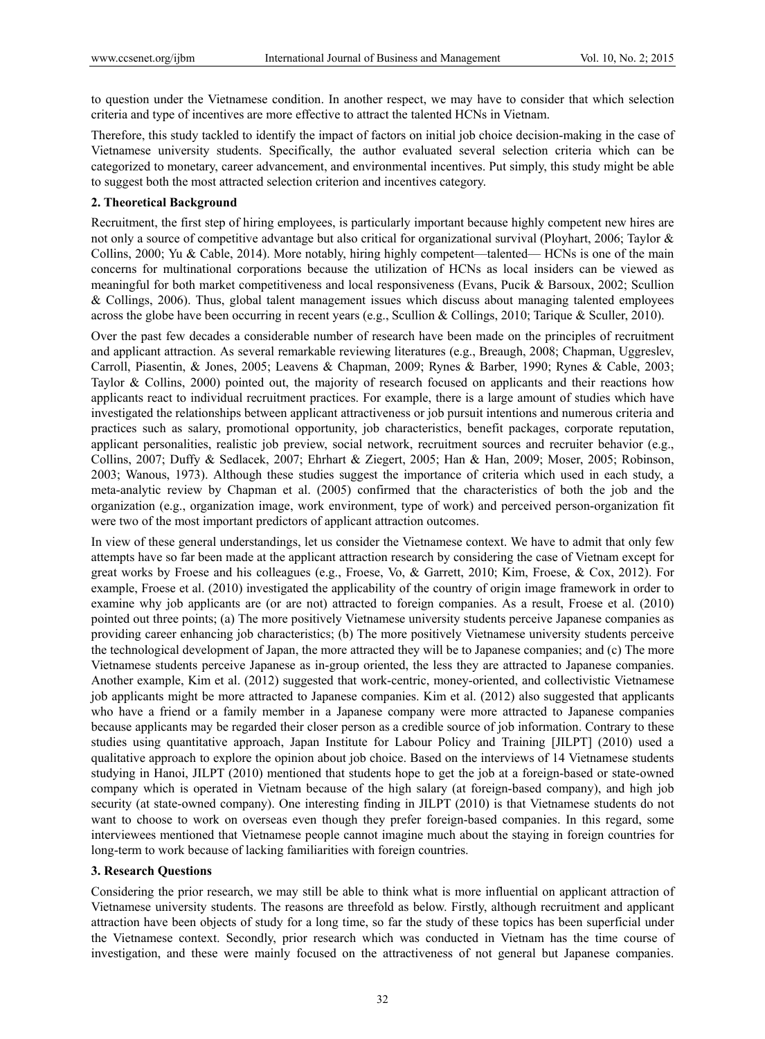to question under the Vietnamese condition. In another respect, we may have to consider that which selection criteria and type of incentives are more effective to attract the talented HCNs in Vietnam.

Therefore, this study tackled to identify the impact of factors on initial job choice decision-making in the case of Vietnamese university students. Specifically, the author evaluated several selection criteria which can be categorized to monetary, career advancement, and environmental incentives. Put simply, this study might be able to suggest both the most attracted selection criterion and incentives category.

## **2. Theoretical Background**

Recruitment, the first step of hiring employees, is particularly important because highly competent new hires are not only a source of competitive advantage but also critical for organizational survival (Ployhart, 2006; Taylor & Collins, 2000; Yu & Cable, 2014). More notably, hiring highly competent—talented— HCNs is one of the main concerns for multinational corporations because the utilization of HCNs as local insiders can be viewed as meaningful for both market competitiveness and local responsiveness (Evans, Pucik & Barsoux, 2002; Scullion & Collings, 2006). Thus, global talent management issues which discuss about managing talented employees across the globe have been occurring in recent years (e.g., Scullion & Collings, 2010; Tarique & Sculler, 2010).

Over the past few decades a considerable number of research have been made on the principles of recruitment and applicant attraction. As several remarkable reviewing literatures (e.g., Breaugh, 2008; Chapman, Uggreslev, Carroll, Piasentin, & Jones, 2005; Leavens & Chapman, 2009; Rynes & Barber, 1990; Rynes & Cable, 2003; Taylor & Collins, 2000) pointed out, the majority of research focused on applicants and their reactions how applicants react to individual recruitment practices. For example, there is a large amount of studies which have investigated the relationships between applicant attractiveness or job pursuit intentions and numerous criteria and practices such as salary, promotional opportunity, job characteristics, benefit packages, corporate reputation, applicant personalities, realistic job preview, social network, recruitment sources and recruiter behavior (e.g., Collins, 2007; Duffy & Sedlacek, 2007; Ehrhart & Ziegert, 2005; Han & Han, 2009; Moser, 2005; Robinson, 2003; Wanous, 1973). Although these studies suggest the importance of criteria which used in each study, a meta-analytic review by Chapman et al. (2005) confirmed that the characteristics of both the job and the organization (e.g., organization image, work environment, type of work) and perceived person-organization fit were two of the most important predictors of applicant attraction outcomes.

In view of these general understandings, let us consider the Vietnamese context. We have to admit that only few attempts have so far been made at the applicant attraction research by considering the case of Vietnam except for great works by Froese and his colleagues (e.g., Froese, Vo, & Garrett, 2010; Kim, Froese, & Cox, 2012). For example, Froese et al. (2010) investigated the applicability of the country of origin image framework in order to examine why job applicants are (or are not) attracted to foreign companies. As a result, Froese et al. (2010) pointed out three points; (a) The more positively Vietnamese university students perceive Japanese companies as providing career enhancing job characteristics; (b) The more positively Vietnamese university students perceive the technological development of Japan, the more attracted they will be to Japanese companies; and (c) The more Vietnamese students perceive Japanese as in-group oriented, the less they are attracted to Japanese companies. Another example, Kim et al. (2012) suggested that work-centric, money-oriented, and collectivistic Vietnamese job applicants might be more attracted to Japanese companies. Kim et al. (2012) also suggested that applicants who have a friend or a family member in a Japanese company were more attracted to Japanese companies because applicants may be regarded their closer person as a credible source of job information. Contrary to these studies using quantitative approach, Japan Institute for Labour Policy and Training [JILPT] (2010) used a qualitative approach to explore the opinion about job choice. Based on the interviews of 14 Vietnamese students studying in Hanoi, JILPT (2010) mentioned that students hope to get the job at a foreign-based or state-owned company which is operated in Vietnam because of the high salary (at foreign-based company), and high job security (at state-owned company). One interesting finding in JILPT (2010) is that Vietnamese students do not want to choose to work on overseas even though they prefer foreign-based companies. In this regard, some interviewees mentioned that Vietnamese people cannot imagine much about the staying in foreign countries for long-term to work because of lacking familiarities with foreign countries.

#### **3. Research Questions**

Considering the prior research, we may still be able to think what is more influential on applicant attraction of Vietnamese university students. The reasons are threefold as below. Firstly, although recruitment and applicant attraction have been objects of study for a long time, so far the study of these topics has been superficial under the Vietnamese context. Secondly, prior research which was conducted in Vietnam has the time course of investigation, and these were mainly focused on the attractiveness of not general but Japanese companies.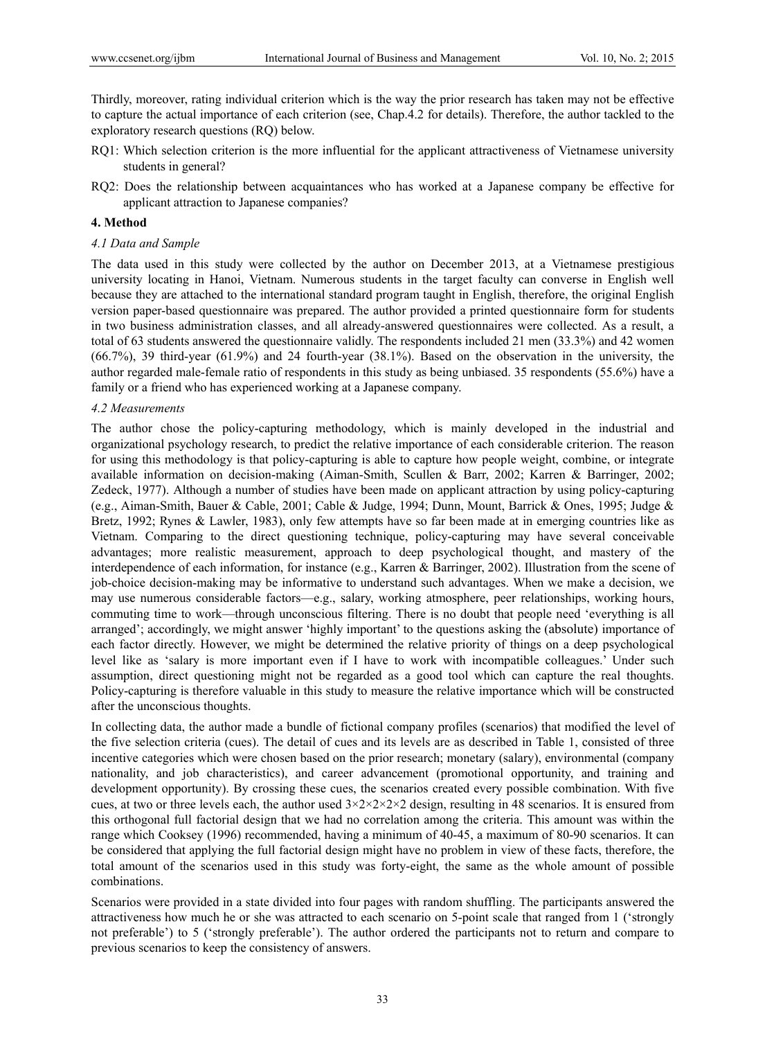Thirdly, moreover, rating individual criterion which is the way the prior research has taken may not be effective to capture the actual importance of each criterion (see, Chap.4.2 for details). Therefore, the author tackled to the exploratory research questions (RQ) below.

- RQ1: Which selection criterion is the more influential for the applicant attractiveness of Vietnamese university students in general?
- RQ2: Does the relationship between acquaintances who has worked at a Japanese company be effective for applicant attraction to Japanese companies?

## **4. Method**

## *4.1 Data and Sample*

The data used in this study were collected by the author on December 2013, at a Vietnamese prestigious university locating in Hanoi, Vietnam. Numerous students in the target faculty can converse in English well because they are attached to the international standard program taught in English, therefore, the original English version paper-based questionnaire was prepared. The author provided a printed questionnaire form for students in two business administration classes, and all already-answered questionnaires were collected. As a result, a total of 63 students answered the questionnaire validly. The respondents included 21 men (33.3%) and 42 women (66.7%), 39 third-year (61.9%) and 24 fourth-year (38.1%). Based on the observation in the university, the author regarded male-female ratio of respondents in this study as being unbiased. 35 respondents (55.6%) have a family or a friend who has experienced working at a Japanese company.

#### *4.2 Measurements*

The author chose the policy-capturing methodology, which is mainly developed in the industrial and organizational psychology research, to predict the relative importance of each considerable criterion. The reason for using this methodology is that policy-capturing is able to capture how people weight, combine, or integrate available information on decision-making (Aiman-Smith, Scullen & Barr, 2002; Karren & Barringer, 2002; Zedeck, 1977). Although a number of studies have been made on applicant attraction by using policy-capturing (e.g., Aiman-Smith, Bauer & Cable, 2001; Cable & Judge, 1994; Dunn, Mount, Barrick & Ones, 1995; Judge & Bretz, 1992; Rynes & Lawler, 1983), only few attempts have so far been made at in emerging countries like as Vietnam. Comparing to the direct questioning technique, policy-capturing may have several conceivable advantages; more realistic measurement, approach to deep psychological thought, and mastery of the interdependence of each information, for instance (e.g., Karren & Barringer, 2002). Illustration from the scene of job-choice decision-making may be informative to understand such advantages. When we make a decision, we may use numerous considerable factors—e.g., salary, working atmosphere, peer relationships, working hours, commuting time to work—through unconscious filtering. There is no doubt that people need 'everything is all arranged'; accordingly, we might answer 'highly important' to the questions asking the (absolute) importance of each factor directly. However, we might be determined the relative priority of things on a deep psychological level like as 'salary is more important even if I have to work with incompatible colleagues.' Under such assumption, direct questioning might not be regarded as a good tool which can capture the real thoughts. Policy-capturing is therefore valuable in this study to measure the relative importance which will be constructed after the unconscious thoughts.

In collecting data, the author made a bundle of fictional company profiles (scenarios) that modified the level of the five selection criteria (cues). The detail of cues and its levels are as described in Table 1, consisted of three incentive categories which were chosen based on the prior research; monetary (salary), environmental (company nationality, and job characteristics), and career advancement (promotional opportunity, and training and development opportunity). By crossing these cues, the scenarios created every possible combination. With five cues, at two or three levels each, the author used  $3 \times 2 \times 2 \times 2 \times 2$  design, resulting in 48 scenarios. It is ensured from this orthogonal full factorial design that we had no correlation among the criteria. This amount was within the range which Cooksey (1996) recommended, having a minimum of 40-45, a maximum of 80-90 scenarios. It can be considered that applying the full factorial design might have no problem in view of these facts, therefore, the total amount of the scenarios used in this study was forty-eight, the same as the whole amount of possible combinations.

Scenarios were provided in a state divided into four pages with random shuffling. The participants answered the attractiveness how much he or she was attracted to each scenario on 5-point scale that ranged from 1 ('strongly not preferable') to 5 ('strongly preferable'). The author ordered the participants not to return and compare to previous scenarios to keep the consistency of answers.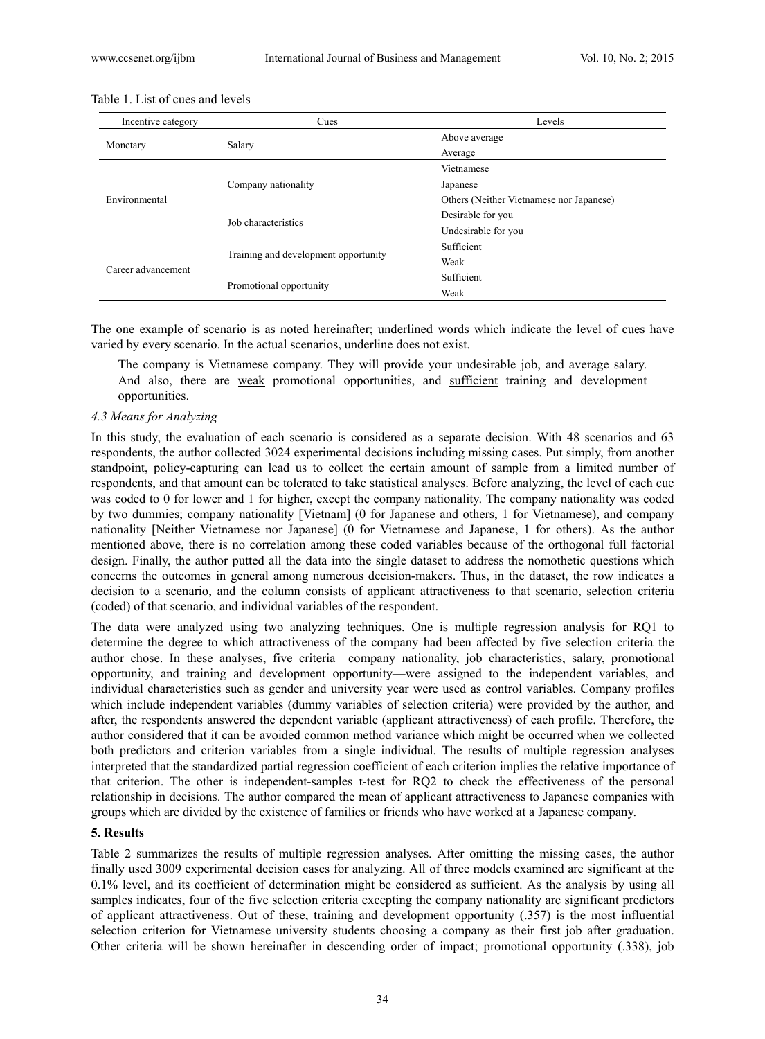| Incentive category | Cues                                 | Levels                                   |  |
|--------------------|--------------------------------------|------------------------------------------|--|
| Monetary           |                                      | Above average                            |  |
|                    | Salary                               | Average                                  |  |
| Environmental      |                                      | Vietnamese                               |  |
|                    | Company nationality                  | Japanese                                 |  |
|                    |                                      | Others (Neither Vietnamese nor Japanese) |  |
|                    | Job characteristics                  | Desirable for you                        |  |
|                    |                                      | Undesirable for you                      |  |
| Career advancement |                                      | Sufficient                               |  |
|                    | Training and development opportunity | Weak                                     |  |
|                    | Promotional opportunity              | Sufficient                               |  |
|                    |                                      | Weak                                     |  |

## Table 1. List of cues and levels

The one example of scenario is as noted hereinafter; underlined words which indicate the level of cues have varied by every scenario. In the actual scenarios, underline does not exist.

The company is Vietnamese company. They will provide your undesirable job, and average salary. And also, there are weak promotional opportunities, and sufficient training and development opportunities.

## *4.3 Means for Analyzing*

In this study, the evaluation of each scenario is considered as a separate decision. With 48 scenarios and 63 respondents, the author collected 3024 experimental decisions including missing cases. Put simply, from another standpoint, policy-capturing can lead us to collect the certain amount of sample from a limited number of respondents, and that amount can be tolerated to take statistical analyses. Before analyzing, the level of each cue was coded to 0 for lower and 1 for higher, except the company nationality. The company nationality was coded by two dummies; company nationality [Vietnam] (0 for Japanese and others, 1 for Vietnamese), and company nationality [Neither Vietnamese nor Japanese] (0 for Vietnamese and Japanese, 1 for others). As the author mentioned above, there is no correlation among these coded variables because of the orthogonal full factorial design. Finally, the author putted all the data into the single dataset to address the nomothetic questions which concerns the outcomes in general among numerous decision-makers. Thus, in the dataset, the row indicates a decision to a scenario, and the column consists of applicant attractiveness to that scenario, selection criteria (coded) of that scenario, and individual variables of the respondent.

The data were analyzed using two analyzing techniques. One is multiple regression analysis for RQ1 to determine the degree to which attractiveness of the company had been affected by five selection criteria the author chose. In these analyses, five criteria—company nationality, job characteristics, salary, promotional opportunity, and training and development opportunity—were assigned to the independent variables, and individual characteristics such as gender and university year were used as control variables. Company profiles which include independent variables (dummy variables of selection criteria) were provided by the author, and after, the respondents answered the dependent variable (applicant attractiveness) of each profile. Therefore, the author considered that it can be avoided common method variance which might be occurred when we collected both predictors and criterion variables from a single individual. The results of multiple regression analyses interpreted that the standardized partial regression coefficient of each criterion implies the relative importance of that criterion. The other is independent-samples t-test for RQ2 to check the effectiveness of the personal relationship in decisions. The author compared the mean of applicant attractiveness to Japanese companies with groups which are divided by the existence of families or friends who have worked at a Japanese company.

#### **5. Results**

Table 2 summarizes the results of multiple regression analyses. After omitting the missing cases, the author finally used 3009 experimental decision cases for analyzing. All of three models examined are significant at the 0.1% level, and its coefficient of determination might be considered as sufficient. As the analysis by using all samples indicates, four of the five selection criteria excepting the company nationality are significant predictors of applicant attractiveness. Out of these, training and development opportunity (.357) is the most influential selection criterion for Vietnamese university students choosing a company as their first job after graduation. Other criteria will be shown hereinafter in descending order of impact; promotional opportunity (.338), job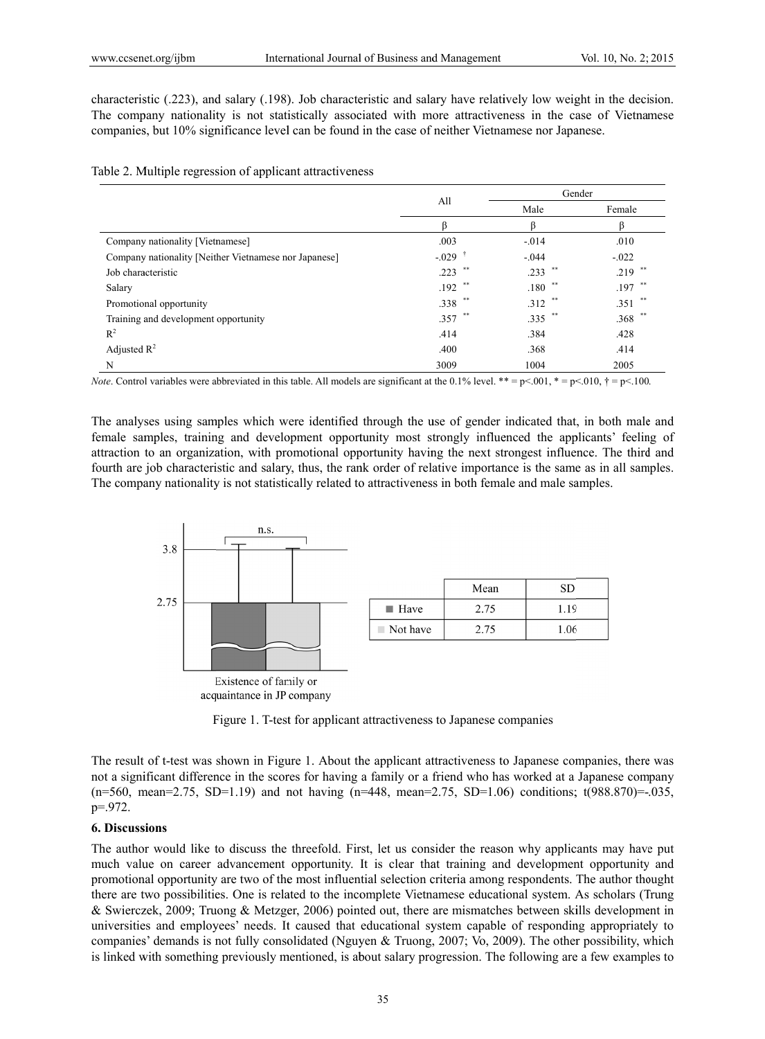characteristic (.223), and salary (.198). Job characteristic and salary have relatively low weight in the decision. The company nationality is not statistically associated with more attractiveness in the case of Vietnamese companies, but 10% significance level can be found in the case of neither Vietnamese nor Japanese.

|                                                       | All                  | Gender        |            |
|-------------------------------------------------------|----------------------|---------------|------------|
|                                                       |                      | Male          | Female     |
|                                                       |                      |               |            |
| Company nationality [Vietnamese]                      | .003                 | $-0.014$      | .010       |
| Company nationality [Neither Vietnamese nor Japanese] | $-.029$ <sup>†</sup> | $-.044$       | $-.022$    |
| Job characteristic                                    | $* *$<br>.223        | .233          | .219       |
| Salary                                                | $* *$<br>.192        | **<br>.180    | .197       |
| Promotional opportunity                               | $* *$<br>.338        | $***$<br>.312 | **<br>.351 |
| Training and development opportunity                  | $* *$<br>.357        | .335          | .368       |
| $R^2$                                                 | .414                 | .384          | .428       |
| Adjusted $R^2$                                        | .400                 | .368          | .414       |
| N                                                     | 3009                 | 1004          | 2005       |

Table 2. Multiple regression of applicant attractiveness

*Note*. Control variables were abbreviated in this table. All models are significant at the 0.1% level. \*\* = p<.001, \* = p<.010,  $\uparrow$  = p<.010,  $\uparrow$  = p <.000.

The analyses using samples which were identified through the use of gender indicated that, in both male and female samples, training and development opportunity most strongly influenced the applicants' feeling of attraction to an organization, with promotional opportunity having the next strongest influence. The third and fourth are job characteristic and salary, thus, the rank order of relative importance is the same as in all samples. The company nationality is not statistically related to attractiveness in both female and male samples.



Figure 1. T-test for applicant attractiveness to Japanese companies

The result of t-test was shown in Figure 1. About the applicant attractiveness to Japanese companies, there was not a significant difference in the scores for having a family or a friend who has worked at a Japanese company  $(n=560, \text{ mean}=2.75, \text{ SD}=1.19)$  and not having  $(n=448, \text{ mean}=2.75, \text{ SD}=1.06)$  conditions;  $t(988.870)=0.035$ , p=.972.

### **6. Discuss sions**

The author would like to discuss the threefold. First, let us consider the reason why applicants may have put much value on career advancement opportunity. It is clear that training and development opportunity and promotional opportunity are two of the most influential selection criteria among respondents. The author thought there are two possibilities. One is related to the incomplete Vietnamese educational system. As scholars (Trung & Swierczek, 2009; Truong & Metzger, 2006) pointed out, there are mismatches between skills development in universities and employees' needs. It caused that educational system capable of responding appropriately to companies' demands is not fully consolidated (Nguyen & Truong, 2007; Vo, 2009). The other possibility, which is linked with something previously mentioned, is about salary progression. The following are a few examples to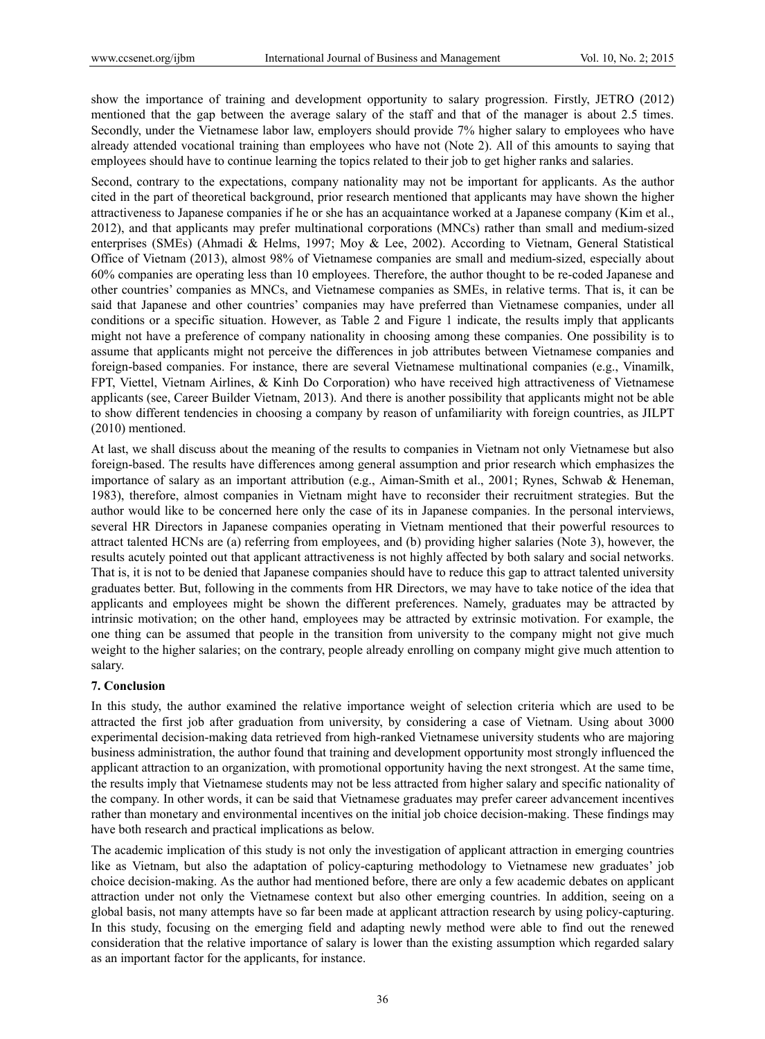show the importance of training and development opportunity to salary progression. Firstly, JETRO (2012) mentioned that the gap between the average salary of the staff and that of the manager is about 2.5 times. Secondly, under the Vietnamese labor law, employers should provide 7% higher salary to employees who have already attended vocational training than employees who have not (Note 2). All of this amounts to saying that employees should have to continue learning the topics related to their job to get higher ranks and salaries.

Second, contrary to the expectations, company nationality may not be important for applicants. As the author cited in the part of theoretical background, prior research mentioned that applicants may have shown the higher attractiveness to Japanese companies if he or she has an acquaintance worked at a Japanese company (Kim et al., 2012), and that applicants may prefer multinational corporations (MNCs) rather than small and medium-sized enterprises (SMEs) (Ahmadi & Helms, 1997; Moy & Lee, 2002). According to Vietnam, General Statistical Office of Vietnam (2013), almost 98% of Vietnamese companies are small and medium-sized, especially about 60% companies are operating less than 10 employees. Therefore, the author thought to be re-coded Japanese and other countries' companies as MNCs, and Vietnamese companies as SMEs, in relative terms. That is, it can be said that Japanese and other countries' companies may have preferred than Vietnamese companies, under all conditions or a specific situation. However, as Table 2 and Figure 1 indicate, the results imply that applicants might not have a preference of company nationality in choosing among these companies. One possibility is to assume that applicants might not perceive the differences in job attributes between Vietnamese companies and foreign-based companies. For instance, there are several Vietnamese multinational companies (e.g., Vinamilk, FPT, Viettel, Vietnam Airlines, & Kinh Do Corporation) who have received high attractiveness of Vietnamese applicants (see, Career Builder Vietnam, 2013). And there is another possibility that applicants might not be able to show different tendencies in choosing a company by reason of unfamiliarity with foreign countries, as JILPT (2010) mentioned.

At last, we shall discuss about the meaning of the results to companies in Vietnam not only Vietnamese but also foreign-based. The results have differences among general assumption and prior research which emphasizes the importance of salary as an important attribution (e.g., Aiman-Smith et al., 2001; Rynes, Schwab & Heneman, 1983), therefore, almost companies in Vietnam might have to reconsider their recruitment strategies. But the author would like to be concerned here only the case of its in Japanese companies. In the personal interviews, several HR Directors in Japanese companies operating in Vietnam mentioned that their powerful resources to attract talented HCNs are (a) referring from employees, and (b) providing higher salaries (Note 3), however, the results acutely pointed out that applicant attractiveness is not highly affected by both salary and social networks. That is, it is not to be denied that Japanese companies should have to reduce this gap to attract talented university graduates better. But, following in the comments from HR Directors, we may have to take notice of the idea that applicants and employees might be shown the different preferences. Namely, graduates may be attracted by intrinsic motivation; on the other hand, employees may be attracted by extrinsic motivation. For example, the one thing can be assumed that people in the transition from university to the company might not give much weight to the higher salaries; on the contrary, people already enrolling on company might give much attention to salary.

#### **7. Conclusion**

In this study, the author examined the relative importance weight of selection criteria which are used to be attracted the first job after graduation from university, by considering a case of Vietnam. Using about 3000 experimental decision-making data retrieved from high-ranked Vietnamese university students who are majoring business administration, the author found that training and development opportunity most strongly influenced the applicant attraction to an organization, with promotional opportunity having the next strongest. At the same time, the results imply that Vietnamese students may not be less attracted from higher salary and specific nationality of the company. In other words, it can be said that Vietnamese graduates may prefer career advancement incentives rather than monetary and environmental incentives on the initial job choice decision-making. These findings may have both research and practical implications as below.

The academic implication of this study is not only the investigation of applicant attraction in emerging countries like as Vietnam, but also the adaptation of policy-capturing methodology to Vietnamese new graduates' job choice decision-making. As the author had mentioned before, there are only a few academic debates on applicant attraction under not only the Vietnamese context but also other emerging countries. In addition, seeing on a global basis, not many attempts have so far been made at applicant attraction research by using policy-capturing. In this study, focusing on the emerging field and adapting newly method were able to find out the renewed consideration that the relative importance of salary is lower than the existing assumption which regarded salary as an important factor for the applicants, for instance.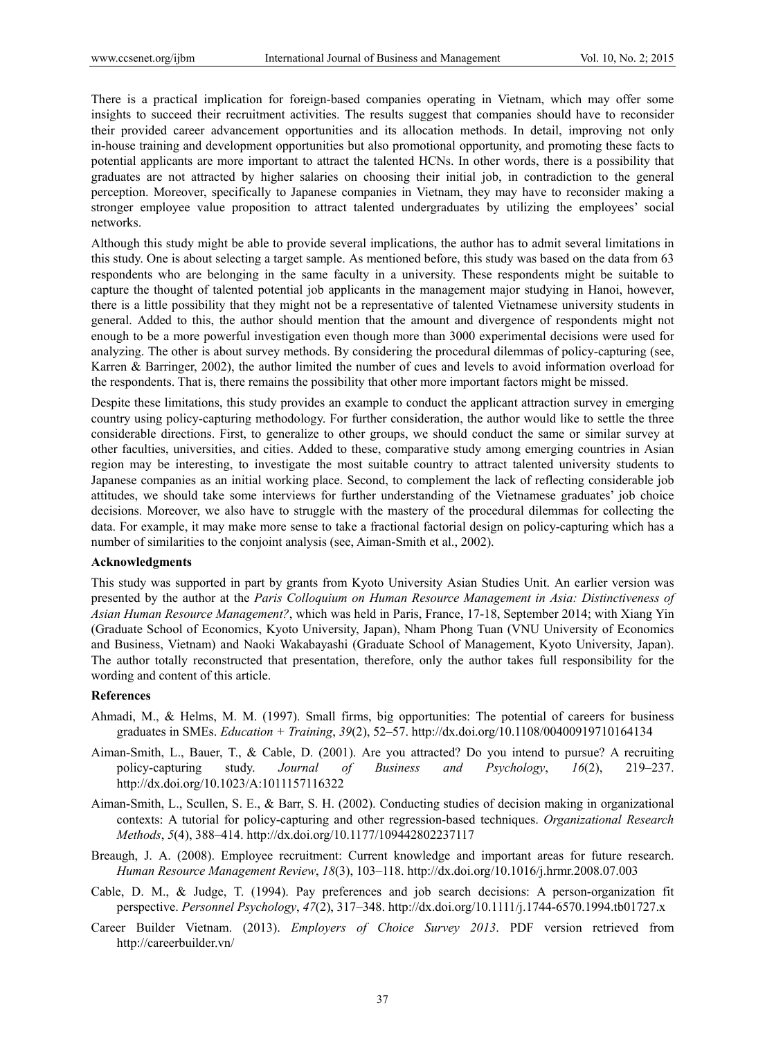There is a practical implication for foreign-based companies operating in Vietnam, which may offer some insights to succeed their recruitment activities. The results suggest that companies should have to reconsider their provided career advancement opportunities and its allocation methods. In detail, improving not only in-house training and development opportunities but also promotional opportunity, and promoting these facts to potential applicants are more important to attract the talented HCNs. In other words, there is a possibility that graduates are not attracted by higher salaries on choosing their initial job, in contradiction to the general perception. Moreover, specifically to Japanese companies in Vietnam, they may have to reconsider making a stronger employee value proposition to attract talented undergraduates by utilizing the employees' social networks.

Although this study might be able to provide several implications, the author has to admit several limitations in this study. One is about selecting a target sample. As mentioned before, this study was based on the data from 63 respondents who are belonging in the same faculty in a university. These respondents might be suitable to capture the thought of talented potential job applicants in the management major studying in Hanoi, however, there is a little possibility that they might not be a representative of talented Vietnamese university students in general. Added to this, the author should mention that the amount and divergence of respondents might not enough to be a more powerful investigation even though more than 3000 experimental decisions were used for analyzing. The other is about survey methods. By considering the procedural dilemmas of policy-capturing (see, Karren & Barringer, 2002), the author limited the number of cues and levels to avoid information overload for the respondents. That is, there remains the possibility that other more important factors might be missed.

Despite these limitations, this study provides an example to conduct the applicant attraction survey in emerging country using policy-capturing methodology. For further consideration, the author would like to settle the three considerable directions. First, to generalize to other groups, we should conduct the same or similar survey at other faculties, universities, and cities. Added to these, comparative study among emerging countries in Asian region may be interesting, to investigate the most suitable country to attract talented university students to Japanese companies as an initial working place. Second, to complement the lack of reflecting considerable job attitudes, we should take some interviews for further understanding of the Vietnamese graduates' job choice decisions. Moreover, we also have to struggle with the mastery of the procedural dilemmas for collecting the data. For example, it may make more sense to take a fractional factorial design on policy-capturing which has a number of similarities to the conjoint analysis (see, Aiman-Smith et al., 2002).

#### **Acknowledgments**

This study was supported in part by grants from Kyoto University Asian Studies Unit. An earlier version was presented by the author at the *Paris Colloquium on Human Resource Management in Asia: Distinctiveness of Asian Human Resource Management?*, which was held in Paris, France, 17-18, September 2014; with Xiang Yin (Graduate School of Economics, Kyoto University, Japan), Nham Phong Tuan (VNU University of Economics and Business, Vietnam) and Naoki Wakabayashi (Graduate School of Management, Kyoto University, Japan). The author totally reconstructed that presentation, therefore, only the author takes full responsibility for the wording and content of this article.

## **References**

- Ahmadi, M., & Helms, M. M. (1997). Small firms, big opportunities: The potential of careers for business graduates in SMEs. *Education + Training*, *39*(2), 52–57. http://dx.doi.org/10.1108/00400919710164134
- Aiman-Smith, L., Bauer, T., & Cable, D. (2001). Are you attracted? Do you intend to pursue? A recruiting policy-capturing study. *Journal of Business and Psychology*, *16*(2), 219–237. http://dx.doi.org/10.1023/A:1011157116322
- Aiman-Smith, L., Scullen, S. E., & Barr, S. H. (2002). Conducting studies of decision making in organizational contexts: A tutorial for policy-capturing and other regression-based techniques. *Organizational Research Methods*, *5*(4), 388–414. http://dx.doi.org/10.1177/109442802237117
- Breaugh, J. A. (2008). Employee recruitment: Current knowledge and important areas for future research. *Human Resource Management Review*, *18*(3), 103–118. http://dx.doi.org/10.1016/j.hrmr.2008.07.003
- Cable, D. M., & Judge, T. (1994). Pay preferences and job search decisions: A person-organization fit perspective. *Personnel Psychology*, *47*(2), 317–348. http://dx.doi.org/10.1111/j.1744-6570.1994.tb01727.x
- Career Builder Vietnam. (2013). *Employers of Choice Survey 2013*. PDF version retrieved from http://careerbuilder.vn/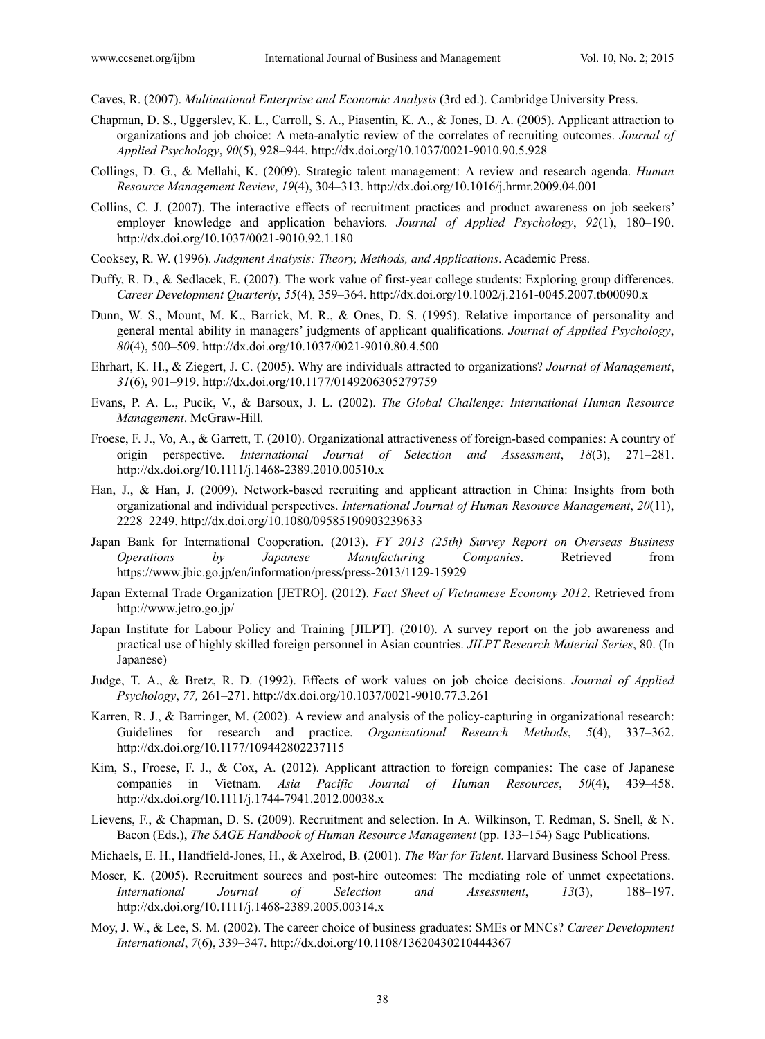- Caves, R. (2007). *Multinational Enterprise and Economic Analysis* (3rd ed.). Cambridge University Press.
- Chapman, D. S., Uggerslev, K. L., Carroll, S. A., Piasentin, K. A., & Jones, D. A. (2005). Applicant attraction to organizations and job choice: A meta-analytic review of the correlates of recruiting outcomes. *Journal of Applied Psychology*, *90*(5), 928–944. http://dx.doi.org/10.1037/0021-9010.90.5.928
- Collings, D. G., & Mellahi, K. (2009). Strategic talent management: A review and research agenda. *Human Resource Management Review*, *19*(4), 304–313. http://dx.doi.org/10.1016/j.hrmr.2009.04.001
- Collins, C. J. (2007). The interactive effects of recruitment practices and product awareness on job seekers' employer knowledge and application behaviors. *Journal of Applied Psychology*, *92*(1), 180–190. http://dx.doi.org/10.1037/0021-9010.92.1.180
- Cooksey, R. W. (1996). *Judgment Analysis: Theory, Methods, and Applications*. Academic Press.
- Duffy, R. D., & Sedlacek, E. (2007). The work value of first-year college students: Exploring group differences. *Career Development Quarterly*, *55*(4), 359–364. http://dx.doi.org/10.1002/j.2161-0045.2007.tb00090.x
- Dunn, W. S., Mount, M. K., Barrick, M. R., & Ones, D. S. (1995). Relative importance of personality and general mental ability in managers' judgments of applicant qualifications. *Journal of Applied Psychology*, *80*(4), 500–509. http://dx.doi.org/10.1037/0021-9010.80.4.500
- Ehrhart, K. H., & Ziegert, J. C. (2005). Why are individuals attracted to organizations? *Journal of Management*, *31*(6), 901–919. http://dx.doi.org/10.1177/0149206305279759
- Evans, P. A. L., Pucik, V., & Barsoux, J. L. (2002). *The Global Challenge: International Human Resource Management*. McGraw-Hill.
- Froese, F. J., Vo, A., & Garrett, T. (2010). Organizational attractiveness of foreign-based companies: A country of origin perspective. *International Journal of Selection and Assessment*, *18*(3), 271–281. http://dx.doi.org/10.1111/j.1468-2389.2010.00510.x
- Han, J., & Han, J. (2009). Network-based recruiting and applicant attraction in China: Insights from both organizational and individual perspectives. *International Journal of Human Resource Management*, *20*(11), 2228–2249. http://dx.doi.org/10.1080/09585190903239633
- Japan Bank for International Cooperation. (2013). *FY 2013 (25th) Survey Report on Overseas Business Operations by Japanese Manufacturing Companies*. Retrieved from https://www.jbic.go.jp/en/information/press/press-2013/1129-15929
- Japan External Trade Organization [JETRO]. (2012). *Fact Sheet of Vietnamese Economy 2012*. Retrieved from http://www.jetro.go.jp/
- Japan Institute for Labour Policy and Training [JILPT]. (2010). A survey report on the job awareness and practical use of highly skilled foreign personnel in Asian countries. *JILPT Research Material Series*, 80. (In Japanese)
- Judge, T. A., & Bretz, R. D. (1992). Effects of work values on job choice decisions. *Journal of Applied Psychology*, *77,* 261–271. http://dx.doi.org/10.1037/0021-9010.77.3.261
- Karren, R. J., & Barringer, M. (2002). A review and analysis of the policy-capturing in organizational research: Guidelines for research and practice. *Organizational Research Methods*, *5*(4), 337–362. http://dx.doi.org/10.1177/109442802237115
- Kim, S., Froese, F. J., & Cox, A. (2012). Applicant attraction to foreign companies: The case of Japanese companies in Vietnam. *Asia Pacific Journal of Human Resources*, *50*(4), 439–458. http://dx.doi.org/10.1111/j.1744-7941.2012.00038.x
- Lievens, F., & Chapman, D. S. (2009). Recruitment and selection. In A. Wilkinson, T. Redman, S. Snell, & N. Bacon (Eds.), *The SAGE Handbook of Human Resource Management* (pp. 133–154) Sage Publications.
- Michaels, E. H., Handfield-Jones, H., & Axelrod, B. (2001). *The War for Talent*. Harvard Business School Press.
- Moser, K. (2005). Recruitment sources and post-hire outcomes: The mediating role of unmet expectations. *International Journal of Selection and Assessment*, *13*(3), 188–197. http://dx.doi.org/10.1111/j.1468-2389.2005.00314.x
- Moy, J. W., & Lee, S. M. (2002). The career choice of business graduates: SMEs or MNCs? *Career Development International*, *7*(6), 339–347. http://dx.doi.org/10.1108/13620430210444367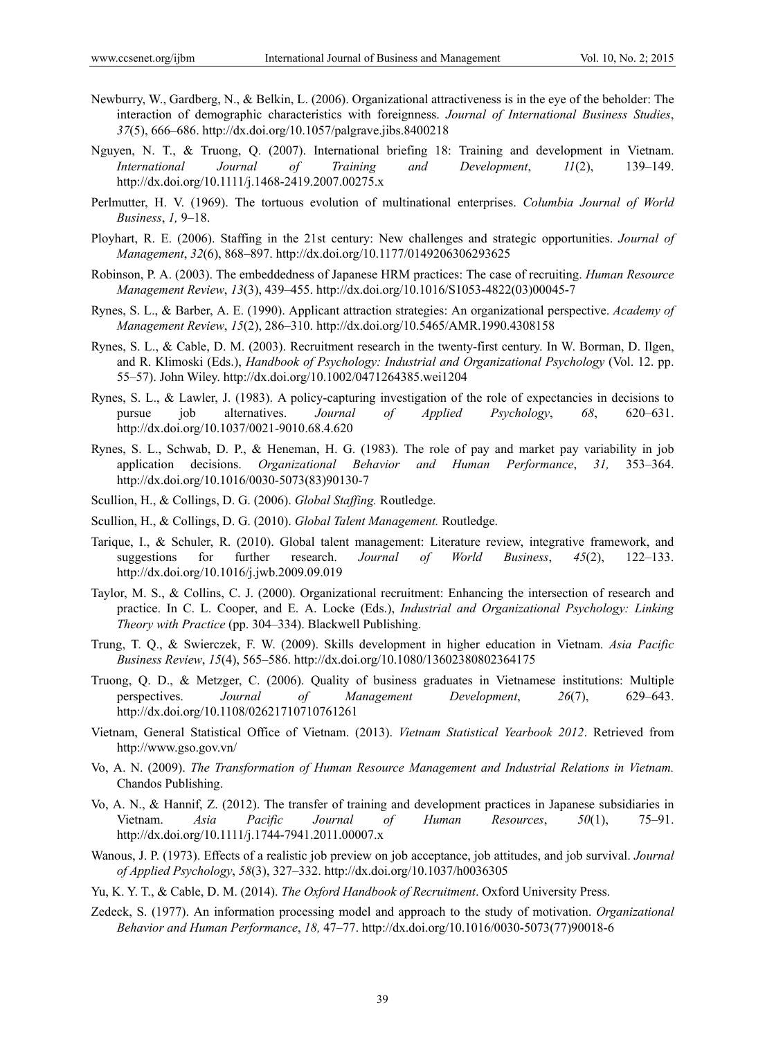- Newburry, W., Gardberg, N., & Belkin, L. (2006). Organizational attractiveness is in the eye of the beholder: The interaction of demographic characteristics with foreignness. *Journal of International Business Studies*, *37*(5), 666–686. http://dx.doi.org/10.1057/palgrave.jibs.8400218
- Nguyen, N. T., & Truong, Q. (2007). International briefing 18: Training and development in Vietnam. *International Journal of Training and Development*, *11*(2), 139–149. http://dx.doi.org/10.1111/j.1468-2419.2007.00275.x
- Perlmutter, H. V. (1969). The tortuous evolution of multinational enterprises. *Columbia Journal of World Business*, *1,* 9–18.
- Ployhart, R. E. (2006). Staffing in the 21st century: New challenges and strategic opportunities. *Journal of Management*, *32*(6), 868–897. http://dx.doi.org/10.1177/0149206306293625
- Robinson, P. A. (2003). The embeddedness of Japanese HRM practices: The case of recruiting. *Human Resource Management Review*, *13*(3), 439–455. http://dx.doi.org/10.1016/S1053-4822(03)00045-7
- Rynes, S. L., & Barber, A. E. (1990). Applicant attraction strategies: An organizational perspective. *Academy of Management Review*, *15*(2), 286–310. http://dx.doi.org/10.5465/AMR.1990.4308158
- Rynes, S. L., & Cable, D. M. (2003). Recruitment research in the twenty-first century. In W. Borman, D. Ilgen, and R. Klimoski (Eds.), *Handbook of Psychology: Industrial and Organizational Psychology* (Vol. 12. pp. 55–57). John Wiley. http://dx.doi.org/10.1002/0471264385.wei1204
- Rynes, S. L., & Lawler, J. (1983). A policy-capturing investigation of the role of expectancies in decisions to pursue job alternatives. *Journal of Applied Psychology*, *68*, 620–631. http://dx.doi.org/10.1037/0021-9010.68.4.620
- Rynes, S. L., Schwab, D. P., & Heneman, H. G. (1983). The role of pay and market pay variability in job application decisions. *Organizational Behavior and Human Performance*, *31,* 353–364. http://dx.doi.org/10.1016/0030-5073(83)90130-7
- Scullion, H., & Collings, D. G. (2006). *Global Staffing.* Routledge.
- Scullion, H., & Collings, D. G. (2010). *Global Talent Management.* Routledge.
- Tarique, I., & Schuler, R. (2010). Global talent management: Literature review, integrative framework, and suggestions for further research. *Journal of World Business*, *45*(2), 122–133. http://dx.doi.org/10.1016/j.jwb.2009.09.019
- Taylor, M. S., & Collins, C. J. (2000). Organizational recruitment: Enhancing the intersection of research and practice. In C. L. Cooper, and E. A. Locke (Eds.), *Industrial and Organizational Psychology: Linking Theory with Practice* (pp. 304–334). Blackwell Publishing.
- Trung, T. Q., & Swierczek, F. W. (2009). Skills development in higher education in Vietnam. *Asia Pacific Business Review*, *15*(4), 565–586. http://dx.doi.org/10.1080/13602380802364175
- Truong, Q. D., & Metzger, C. (2006). Quality of business graduates in Vietnamese institutions: Multiple perspectives. *Journal of Management Development*, *26*(7), 629–643. http://dx.doi.org/10.1108/02621710710761261
- Vietnam, General Statistical Office of Vietnam. (2013). *Vietnam Statistical Yearbook 2012*. Retrieved from http://www.gso.gov.vn/
- Vo, A. N. (2009). *The Transformation of Human Resource Management and Industrial Relations in Vietnam.* Chandos Publishing.
- Vo, A. N., & Hannif, Z. (2012). The transfer of training and development practices in Japanese subsidiaries in Vietnam. *Asia Pacific Journal of Human Resources*, *50*(1), 75–91. http://dx.doi.org/10.1111/j.1744-7941.2011.00007.x
- Wanous, J. P. (1973). Effects of a realistic job preview on job acceptance, job attitudes, and job survival. *Journal of Applied Psychology*, *58*(3), 327–332. http://dx.doi.org/10.1037/h0036305
- Yu, K. Y. T., & Cable, D. M. (2014). *The Oxford Handbook of Recruitment*. Oxford University Press.
- Zedeck, S. (1977). An information processing model and approach to the study of motivation. *Organizational Behavior and Human Performance*, *18,* 47–77. http://dx.doi.org/10.1016/0030-5073(77)90018-6